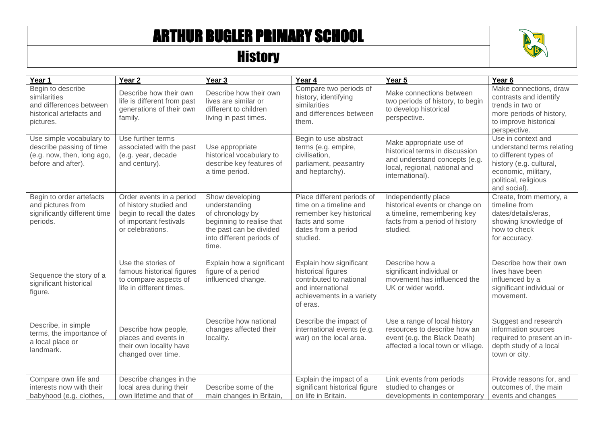## ARTHUR BUGLER PRIMARY SCHOOL

## **History**



| Year 1                                                                                                   | Year <sub>2</sub>                                                                                                             | $\overline{Y}$ ear 3                                                                                                                               | Year 4                                                                                                                                 | Year 5                                                                                                                                         | Year <sub>6</sub>                                                                                                                                                  |
|----------------------------------------------------------------------------------------------------------|-------------------------------------------------------------------------------------------------------------------------------|----------------------------------------------------------------------------------------------------------------------------------------------------|----------------------------------------------------------------------------------------------------------------------------------------|------------------------------------------------------------------------------------------------------------------------------------------------|--------------------------------------------------------------------------------------------------------------------------------------------------------------------|
| Begin to describe<br>similarities<br>and differences between<br>historical artefacts and<br>pictures.    | Describe how their own<br>life is different from past<br>generations of their own<br>family.                                  | Describe how their own<br>lives are similar or<br>different to children<br>living in past times.                                                   | Compare two periods of<br>history, identifying<br>similarities<br>and differences between<br>them.                                     | Make connections between<br>two periods of history, to begin<br>to develop historical<br>perspective.                                          | Make connections, draw<br>contrasts and identify<br>trends in two or<br>more periods of history,<br>to improve historical<br>perspective.                          |
| Use simple vocabulary to<br>describe passing of time<br>(e.g. now, then, long ago,<br>before and after). | Use further terms<br>associated with the past<br>(e.g. year, decade<br>and century).                                          | Use appropriate<br>historical vocabulary to<br>describe key features of<br>a time period.                                                          | Begin to use abstract<br>terms (e.g. empire,<br>civilisation,<br>parliament, peasantry<br>and heptarchy).                              | Make appropriate use of<br>historical terms in discussion<br>and understand concepts (e.g.<br>local, regional, national and<br>international). | Use in context and<br>understand terms relating<br>to different types of<br>history (e.g. cultural,<br>economic, military,<br>political, religious<br>and social). |
| Begin to order artefacts<br>and pictures from<br>significantly different time<br>periods.                | Order events in a period<br>of history studied and<br>begin to recall the dates<br>of important festivals<br>or celebrations. | Show developing<br>understanding<br>of chronology by<br>beginning to realise that<br>the past can be divided<br>into different periods of<br>time. | Place different periods of<br>time on a timeline and<br>remember key historical<br>facts and some<br>dates from a period<br>studied.   | Independently place<br>historical events or change on<br>a timeline, remembering key<br>facts from a period of history<br>studied.             | Create, from memory, a<br>timeline from<br>dates/details/eras,<br>showing knowledge of<br>how to check<br>for accuracy.                                            |
| Sequence the story of a<br>significant historical<br>figure.                                             | Use the stories of<br>famous historical figures<br>to compare aspects of<br>life in different times.                          | Explain how a significant<br>figure of a period<br>influenced change.                                                                              | Explain how significant<br>historical figures<br>contributed to national<br>and international<br>achievements in a variety<br>of eras. | Describe how a<br>significant individual or<br>movement has influenced the<br>UK or wider world.                                               | Describe how their own<br>lives have been<br>influenced by a<br>significant individual or<br>movement.                                                             |
| Describe, in simple<br>terms, the importance of<br>a local place or<br>landmark.                         | Describe how people,<br>places and events in<br>their own locality have<br>changed over time.                                 | Describe how national<br>changes affected their<br>locality.                                                                                       | Describe the impact of<br>international events (e.g.<br>war) on the local area.                                                        | Use a range of local history<br>resources to describe how an<br>event (e.g. the Black Death)<br>affected a local town or village.              | Suggest and research<br>information sources<br>required to present an in-<br>depth study of a local<br>town or city.                                               |
| Compare own life and<br>interests now with their<br>babyhood (e.g. clothes,                              | Describe changes in the<br>local area during their<br>own lifetime and that of                                                | Describe some of the<br>main changes in Britain,                                                                                                   | Explain the impact of a<br>significant historical figure<br>on life in Britain.                                                        | Link events from periods<br>studied to changes or<br>developments in contemporary                                                              | Provide reasons for, and<br>outcomes of, the main<br>events and changes                                                                                            |